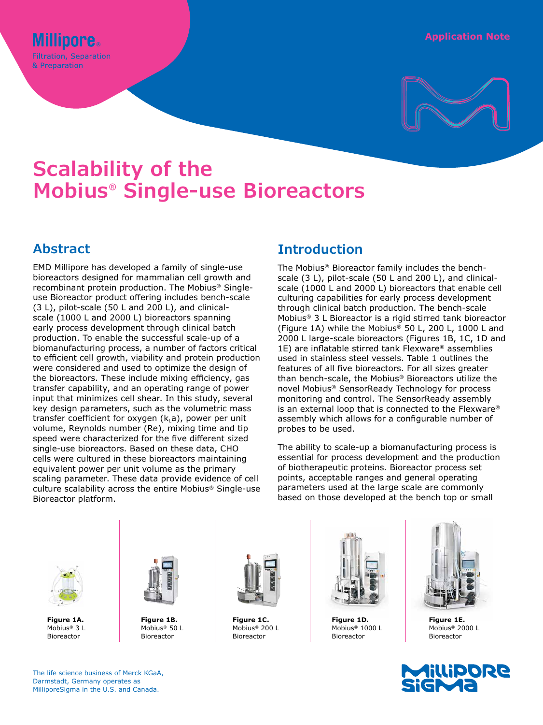

# **Scalability of the Mobius® Single-use Bioreactors**

## **Abstract**

EMD Millipore has developed a family of single-use bioreactors designed for mammalian cell growth and recombinant protein production. The Mobius® Singleuse Bioreactor product offering includes bench-scale (3 L), pilot-scale (50 L and 200 L), and clinicalscale (1000 L and 2000 L) bioreactors spanning early process development through clinical batch production. To enable the successful scale-up of a biomanufacturing process, a number of factors critical to efficient cell growth, viability and protein production were considered and used to optimize the design of the bioreactors. These include mixing efficiency, gas transfer capability, and an operating range of power input that minimizes cell shear. In this study, several key design parameters, such as the volumetric mass transfer coefficient for oxygen  $(k<sub>L</sub>a)$ , power per unit volume, Reynolds number (Re), mixing time and tip speed were characterized for the five different sized single-use bioreactors. Based on these data, CHO cells were cultured in these bioreactors maintaining equivalent power per unit volume as the primary scaling parameter. These data provide evidence of cell culture scalability across the entire Mobius® Single-use Bioreactor platform.

## **Introduction**

The Mobius® Bioreactor family includes the benchscale (3 L), pilot-scale (50 L and 200 L), and clinicalscale (1000 L and 2000 L) bioreactors that enable cell culturing capabilities for early process development through clinical batch production. The bench-scale Mobius® 3 L Bioreactor is a rigid stirred tank bioreactor (Figure 1A) while the Mobius® 50 L, 200 L, 1000 L and 2000 L large-scale bioreactors (Figures 1B, 1C, 1D and 1E) are inflatable stirred tank Flexware® assemblies used in stainless steel vessels. Table 1 outlines the features of all five bioreactors. For all sizes greater than bench-scale, the Mobius® Bioreactors utilize the novel Mobius® SensorReady Technology for process monitoring and control. The SensorReady assembly is an external loop that is connected to the Flexware® assembly which allows for a configurable number of probes to be used.

The ability to scale-up a biomanufacturing process is essential for process development and the production of biotherapeutic proteins. Bioreactor process set points, acceptable ranges and general operating parameters used at the large scale are commonly based on those developed at the bench top or small



**Figure 1A.**  Mobius® 3 L Bioreactor



**Figure 1B.**  Mobius® 50 L Bioreactor



**Figure 1C.**  Mobius® 200 L Bioreactor



**Figure 1D.**  Mobius® 1000 L Bioreactor



**Figure 1E.**  Mobius® 2000 L Bioreactor



The life science business of Merck KGaA, Darmstadt, Germany operates as MilliporeSigma in the U.S. and Canada.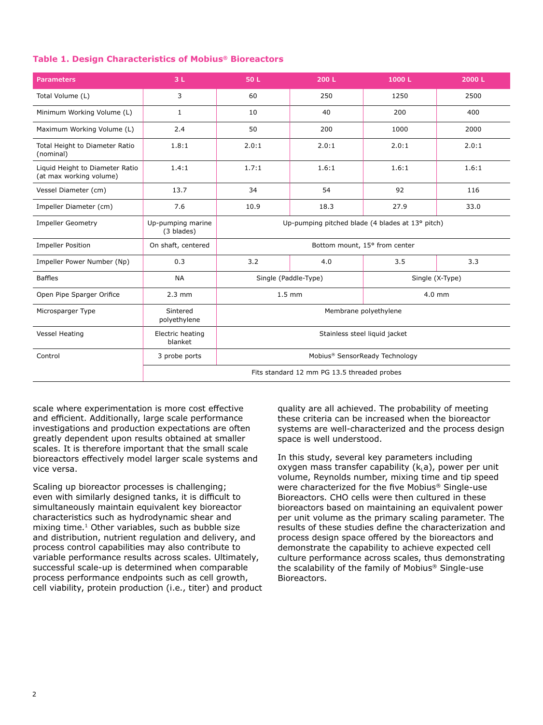#### **Table 1. Design Characteristics of Mobius® Bioreactors**

| <b>Parameters</b>                                          | 3L                                          | 50 L                                             | 200 L | 1000L | 2000L |
|------------------------------------------------------------|---------------------------------------------|--------------------------------------------------|-------|-------|-------|
| Total Volume (L)                                           | 3                                           | 60                                               | 250   | 1250  | 2500  |
| Minimum Working Volume (L)                                 | $\mathbf{1}$                                | 10                                               | 40    | 200   | 400   |
| Maximum Working Volume (L)                                 | 2.4                                         | 50                                               | 200   | 1000  | 2000  |
| Total Height to Diameter Ratio<br>(nominal)                | 1.8:1                                       | 2.0:1                                            | 2.0:1 | 2.0:1 | 2.0:1 |
| Liquid Height to Diameter Ratio<br>(at max working volume) | 1.4:1                                       | 1.7:1                                            | 1.6:1 | 1.6:1 | 1.6:1 |
| Vessel Diameter (cm)                                       | 13.7                                        | 34                                               | 54    | 92    | 116   |
| Impeller Diameter (cm)                                     | 7.6                                         | 10.9                                             | 18.3  | 27.9  | 33.0  |
| <b>Impeller Geometry</b>                                   | Up-pumping marine<br>(3 blades)             | Up-pumping pitched blade (4 blades at 13° pitch) |       |       |       |
| <b>Impeller Position</b>                                   | On shaft, centered                          | Bottom mount, 15° from center                    |       |       |       |
| Impeller Power Number (Np)                                 | 0.3                                         | 3.2                                              | 4.0   | 3.5   | 3.3   |
| <b>Baffles</b>                                             | <b>NA</b>                                   | Single (Paddle-Type)<br>Single (X-Type)          |       |       |       |
| Open Pipe Sparger Orifice                                  | $2.3$ mm                                    | $1.5 \text{ mm}$<br>$4.0$ mm                     |       |       |       |
| Microsparger Type                                          | Sintered<br>polyethylene                    | Membrane polyethylene                            |       |       |       |
| <b>Vessel Heating</b>                                      | Electric heating<br>blanket                 | Stainless steel liquid jacket                    |       |       |       |
| Control                                                    | 3 probe ports                               | Mobius® SensorReady Technology                   |       |       |       |
|                                                            | Fits standard 12 mm PG 13.5 threaded probes |                                                  |       |       |       |

scale where experimentation is more cost effective and efficient. Additionally, large scale performance investigations and production expectations are often greatly dependent upon results obtained at smaller scales. It is therefore important that the small scale bioreactors effectively model larger scale systems and vice versa.

Scaling up bioreactor processes is challenging; even with similarly designed tanks, it is difficult to simultaneously maintain equivalent key bioreactor characteristics such as hydrodynamic shear and mixing time.<sup>1</sup> Other variables, such as bubble size and distribution, nutrient regulation and delivery, and process control capabilities may also contribute to variable performance results across scales. Ultimately, successful scale-up is determined when comparable process performance endpoints such as cell growth, cell viability, protein production (i.e., titer) and product quality are all achieved. The probability of meeting these criteria can be increased when the bioreactor systems are well-characterized and the process design space is well understood.

In this study, several key parameters including oxygen mass transfer capability  $(k<sub>L</sub>a)$ , power per unit volume, Reynolds number, mixing time and tip speed were characterized for the five Mobius® Single-use Bioreactors. CHO cells were then cultured in these bioreactors based on maintaining an equivalent power per unit volume as the primary scaling parameter. The results of these studies define the characterization and process design space offered by the bioreactors and demonstrate the capability to achieve expected cell culture performance across scales, thus demonstrating the scalability of the family of Mobius® Single-use Bioreactors.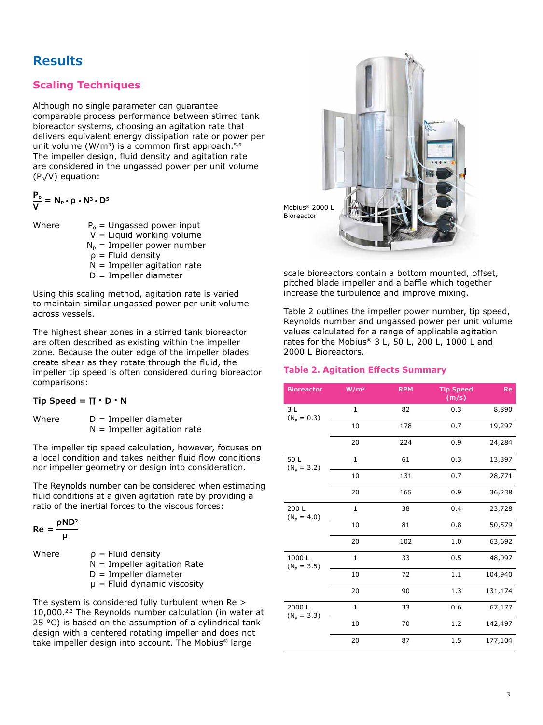## **Results**

## **Scaling Techniques**

Although no single parameter can guarantee comparable process performance between stirred tank bioreactor systems, choosing an agitation rate that delivers equivalent energy dissipation rate or power per unit volume (W/m<sup>3</sup>) is a common first approach.<sup>5,6</sup> The impeller design, fluid density and agitation rate are considered in the ungassed power per unit volume  $(P_0/V)$  equation:

$$
\frac{P_o}{V} = N_P \cdot \rho \cdot N^3 \cdot D^5
$$

Where  $P_0 =$  Ungassed power input  $V =$  Liquid working volume  $N_p$  = Impeller power number  $ρ =$  Fluid density

- $N =$  Impeller agitation rate
- D = Impeller diameter

Using this scaling method, agitation rate is varied to maintain similar ungassed power per unit volume across vessels.

The highest shear zones in a stirred tank bioreactor are often described as existing within the impeller zone. Because the outer edge of the impeller blades create shear as they rotate through the fluid, the impeller tip speed is often considered during bioreactor comparisons:

#### **Tip Speed = ∏ • D • N**

Where  $D =$  Impeller diameter  $N =$  Impeller agitation rate

The impeller tip speed calculation, however, focuses on a local condition and takes neither fluid flow conditions nor impeller geometry or design into consideration.

The Reynolds number can be considered when estimating fluid conditions at a given agitation rate by providing a ratio of the inertial forces to the viscous forces:

 $Re = 0$  **μ** Where  $\rho =$  Fluid density  $N =$  Impeller agitation Rate D = Impeller diameter  $\mu$  = Fluid dynamic viscosity

The system is considered fully turbulent when Re > 10,000.2,3 The Reynolds number calculation (in water at 25 °C) is based on the assumption of a cylindrical tank design with a centered rotating impeller and does not take impeller design into account. The Mobius® large



scale bioreactors contain a bottom mounted, offset, pitched blade impeller and a baffle which together increase the turbulence and improve mixing.

Table 2 outlines the impeller power number, tip speed, Reynolds number and ungassed power per unit volume values calculated for a range of applicable agitation rates for the Mobius® 3 L, 50 L, 200 L, 1000 L and 2000 L Bioreactors.

### **Table 2. Agitation Effects Summary**

| <b>Bioreactor</b>      | W/m <sup>3</sup> | <b>RPM</b> | <b>Tip Speed</b><br>(m/s) | Re      |
|------------------------|------------------|------------|---------------------------|---------|
| 3L<br>$(N_0 = 0.3)$    | $\mathbf{1}$     | 82         | 0.3                       | 8,890   |
|                        | 10               | 178        | 0.7                       | 19,297  |
|                        | 20               | 224        | 0.9                       | 24,284  |
| 50 L<br>$(N_0 = 3.2)$  | 1                | 61         | 0.3                       | 13,397  |
|                        | 10               | 131        | 0.7                       | 28,771  |
|                        | 20               | 165        | 0.9                       | 36,238  |
| 200 L<br>$(N_p = 4.0)$ | 1                | 38         | 0.4                       | 23,728  |
|                        | 10               | 81         | 0.8                       | 50,579  |
|                        | 20               | 102        | 1.0                       | 63,692  |
| 1000L<br>$(N_p = 3.5)$ | $\mathbf{1}$     | 33         | 0.5                       | 48,097  |
|                        | 10               | 72         | 1.1                       | 104,940 |
|                        | 20               | 90         | 1.3                       | 131,174 |
| 2000L<br>$(N_p = 3.3)$ | $\mathbf{1}$     | 33         | 0.6                       | 67,177  |
|                        | 10               | 70         | 1.2                       | 142,497 |
|                        | 20               | 87         | 1.5                       | 177,104 |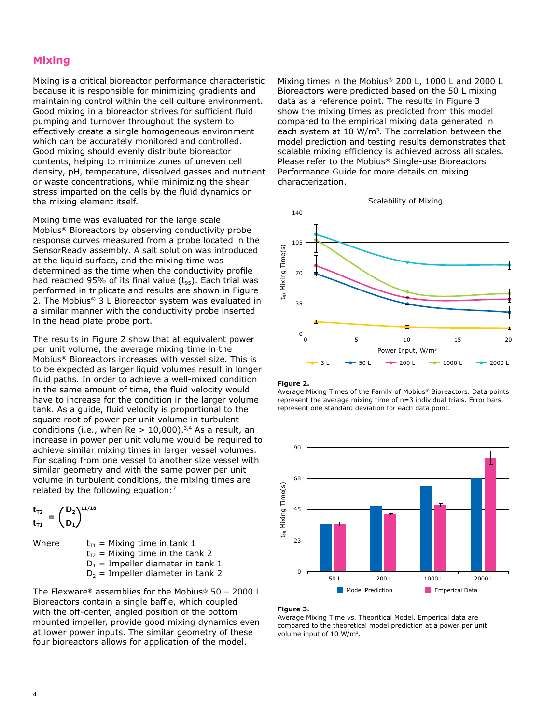## **Mixing**

Mixing is a critical bioreactor performance characteristic because it is responsible for minimizing gradients and maintaining control within the cell culture environment. Good mixing in a bioreactor strives for sufficient fluid pumping and turnover throughout the system to effectively create a single homogeneous environment which can be accurately monitored and controlled. Good mixing should evenly distribute bioreactor contents, helping to minimize zones of uneven cell density, pH, temperature, dissolved gasses and nutrient or waste concentrations, while minimizing the shear stress imparted on the cells by the fluid dynamics or the mixing element itself.

Mixing time was evaluated for the large scale Mobius® Bioreactors by observing conductivity probe response curves measured from a probe located in the SensorReady assembly. A salt solution was introduced at the liquid surface, and the mixing time was determined as the time when the conductivity profile had reached 95% of its final value  $(t_{95})$ . Each trial was performed in triplicate and results are shown in Figure 2. The Mobius® 3 L Bioreactor system was evaluated in a similar manner with the conductivity probe inserted in the head plate probe port.

The results in Figure 2 show that at equivalent power per unit volume, the average mixing time in the Mobius® Bioreactors increases with vessel size. This is to be expected as larger liquid volumes result in longer fluid paths. In order to achieve a well-mixed condition in the same amount of time, the fluid velocity would have to increase for the condition in the larger volume tank. As a guide, fluid velocity is proportional to the square root of power per unit volume in turbulent conditions (i.e., when  $Re > 10,000$ ).<sup>3,4</sup> As a result, an increase in power per unit volume would be required to achieve similar mixing times in larger vessel volumes. For scaling from one vessel to another size vessel with similar geometry and with the same power per unit volume in turbulent conditions, the mixing times are related by the following equation:<sup>7</sup>

$$
\frac{t_{\tau2}}{t_{\tau1}} = \left(\frac{D_2}{D_1}\right)^{11/18}
$$

Where  $t_{T1}$  = Mixing time in tank 1  $t_{T2}$  = Mixing time in the tank 2  $D_1$  = Impeller diameter in tank 1  $D_2$  = Impeller diameter in tank 2

The Flexware® assemblies for the Mobius® 50 – 2000 L Bioreactors contain a single baffle, which coupled with the off-center, angled position of the bottom mounted impeller, provide good mixing dynamics even at lower power inputs. The similar geometry of these four bioreactors allows for application of the model.

Mixing times in the Mobius® 200 L, 1000 L and 2000 L Bioreactors were predicted based on the 50 L mixing data as a reference point. The results in Figure 3 show the mixing times as predicted from this model compared to the empirical mixing data generated in each system at 10 W/m<sup>3</sup>. The correlation between the model prediction and testing results demonstrates that scalable mixing efficiency is achieved across all scales. Please refer to the Mobius® Single-use Bioreactors Performance Guide for more details on mixing characterization.



#### **Figure 2.**

Average Mixing Times of the Family of Mobius® Bioreactors. Data points represent the average mixing time of n=3 individual trials. Error bars represent one standard deviation for each data point.



#### **Figure 3.**

Average Mixing Time vs. Theoritical Model. Emperical data are compared to the theoretical model prediction at a power per unit volume input of 10 W/m3.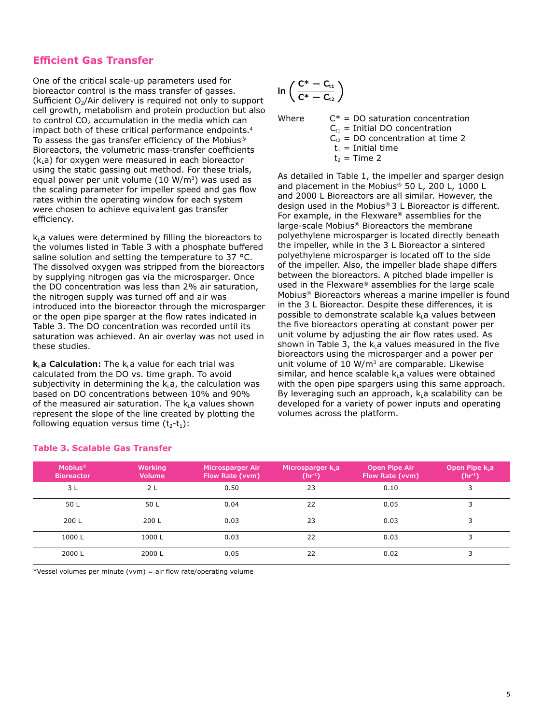## **Efficient Gas Transfer**

One of the critical scale-up parameters used for bioreactor control is the mass transfer of gasses. Sufficient  $O<sub>2</sub>/Air$  delivery is required not only to support cell growth, metabolism and protein production but also to control  $CO<sub>2</sub>$  accumulation in the media which can impact both of these critical performance endpoints.4 To assess the gas transfer efficiency of the Mobius® Bioreactors, the volumetric mass-transfer coefficients  $(k<sub>i</sub>a)$  for oxygen were measured in each bioreactor using the static gassing out method. For these trials, equal power per unit volume (10 W/m<sup>3</sup>) was used as the scaling parameter for impeller speed and gas flow rates within the operating window for each system were chosen to achieve equivalent gas transfer efficiency.

 $k_i$ a values were determined by filling the bioreactors to the volumes listed in Table 3 with a phosphate buffered saline solution and setting the temperature to 37 °C. The dissolved oxygen was stripped from the bioreactors by supplying nitrogen gas via the microsparger. Once the DO concentration was less than 2% air saturation, the nitrogen supply was turned off and air was introduced into the bioreactor through the microsparger or the open pipe sparger at the flow rates indicated in Table 3. The DO concentration was recorded until its saturation was achieved. An air overlay was not used in these studies.

**k<sub>i</sub>a Calculation:** The k<sub>i</sub>a value for each trial was calculated from the DO vs. time graph. To avoid subjectivity in determining the  $k_1a$ , the calculation was based on DO concentrations between 10% and 90% of the measured air saturation. The  $k<sub>L</sub>$  a values shown represent the slope of the line created by plotting the following equation versus time  $(t_2-t_1)$ :

$$
\text{ln}\left(\frac{C^*-C_{t1}}{C^*-C_{t2}}\right)
$$

| $C^*$ = DO saturation concentration   |
|---------------------------------------|
| $C_{t1}$ = Initial DO concentration   |
| $C_{12}$ = DO concentration at time 2 |
| $t_1$ = Initial time                  |
| $t_2$ = Time 2                        |
|                                       |

As detailed in Table 1, the impeller and sparger design and placement in the Mobius® 50 L, 200 L, 1000 L and 2000 L Bioreactors are all similar. However, the design used in the Mobius® 3 L Bioreactor is different. For example, in the Flexware® assemblies for the large-scale Mobius® Bioreactors the membrane polyethylene microsparger is located directly beneath the impeller, while in the 3 L Bioreactor a sintered polyethylene microsparger is located off to the side of the impeller. Also, the impeller blade shape differs between the bioreactors. A pitched blade impeller is used in the Flexware® assemblies for the large scale Mobius® Bioreactors whereas a marine impeller is found in the 3 L Bioreactor. Despite these differences, it is possible to demonstrate scalable  $k<sub>L</sub>$ a values between the five bioreactors operating at constant power per unit volume by adjusting the air flow rates used. As shown in Table 3, the  $k<sub>L</sub>a$  values measured in the five bioreactors using the microsparger and a power per unit volume of 10  $W/m<sup>3</sup>$  are comparable. Likewise similar, and hence scalable  $k_1$ a values were obtained with the open pipe spargers using this same approach. By leveraging such an approach,  $k<sub>L</sub>$ a scalability can be developed for a variety of power inputs and operating volumes across the platform.

| <b>Mobius<sup>®</sup></b><br><b>Bioreactor</b> | <b>Working</b><br><b>Volume</b> | Microsparger Air<br>Flow Rate (vvm) | Microsparger $kL$ a<br>$(hr-1)$ | <b>Open Pipe Air</b><br>Flow Rate (vvm) | Open Pipe $kL$ a<br>(hr <sup>1</sup> ) |
|------------------------------------------------|---------------------------------|-------------------------------------|---------------------------------|-----------------------------------------|----------------------------------------|
| 3 <sub>L</sub>                                 | 2L                              | 0.50                                | 23                              | 0.10                                    | 3                                      |
| 50 L                                           | 50 L                            | 0.04                                | 22                              | 0.05                                    | 3                                      |
| 200 L                                          | 200 L                           | 0.03                                | 23                              | 0.03                                    | 3                                      |
| 1000L                                          | 1000L                           | 0.03                                | 22                              | 0.03                                    | 3                                      |
| 2000L                                          | 2000L                           | 0.05                                | 22                              | 0.02                                    | 3                                      |

### **Table 3. Scalable Gas Transfer**

\*Vessel volumes per minute (vvm) = air flow rate/operating volume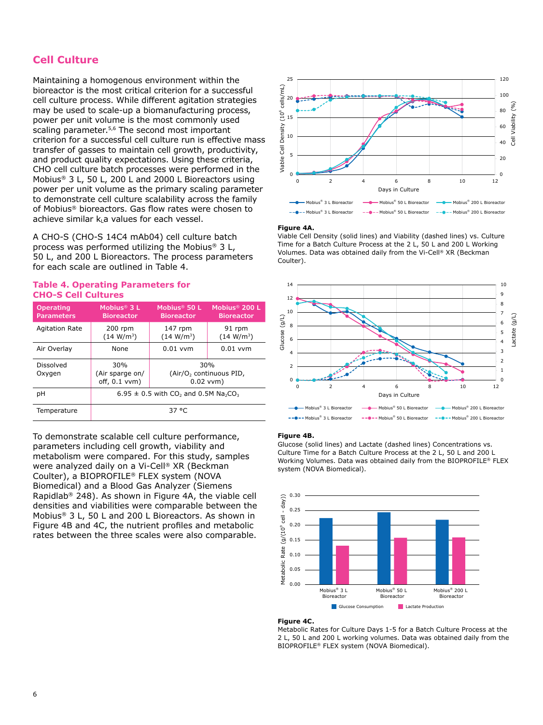### **Cell Culture**

Maintaining a homogenous environment within the bioreactor is the most critical criterion for a successful cell culture process. While different agitation strategies may be used to scale-up a biomanufacturing process, power per unit volume is the most commonly used scaling parameter.<sup>5,6</sup> The second most important criterion for a successful cell culture run is effective mass transfer of gasses to maintain cell growth, productivity, and product quality expectations. Using these criteria, CHO cell culture batch processes were performed in the Mobius® 3 L, 50 L, 200 L and 2000 L Bioreactors using power per unit volume as the primary scaling parameter to demonstrate cell culture scalability across the family of Mobius® bioreactors. Gas flow rates were chosen to achieve similar  $k_i$ a values for each vessel.

A CHO-S (CHO-S 14C4 mAb04) cell culture batch process was performed utilizing the Mobius® 3 L, 50 L, and 200 L Bioreactors. The process parameters for each scale are outlined in Table 4.

#### **Table 4. Operating Parameters for CHO-S Cell Cultures**

| <b>Operating</b><br><b>Parameters</b> | Mobius <sup>®</sup> $3L$<br><b>Bioreactor</b>                                | Mobius <sup>®</sup> 50 L<br><b>Bioreactor</b>                | Mobius <sup>®</sup> 200 L<br><b>Bioreactor</b> |  |
|---------------------------------------|------------------------------------------------------------------------------|--------------------------------------------------------------|------------------------------------------------|--|
| <b>Agitation Rate</b>                 | $200$ rpm<br>(14 W/m <sup>3</sup> )                                          | $147$ rpm<br>(14 W/m <sup>3</sup> )                          | 91 rpm<br>(14 W/m <sup>3</sup> )               |  |
| Air Overlay                           | None                                                                         | $0.01$ vvm                                                   | $0.01$ vvm                                     |  |
| Dissolved<br>Oxygen                   | 30%<br>(Air sparge on/<br>$off, 0.1$ vvm $)$                                 | 30%<br>(Air/O <sub>2</sub> continuous PID,<br>$0.02$ vvm $)$ |                                                |  |
| рH                                    | 6.95 $\pm$ 0.5 with CO <sub>2</sub> and 0.5M Na <sub>2</sub> CO <sub>3</sub> |                                                              |                                                |  |
| Temperature                           | 37 °C                                                                        |                                                              |                                                |  |

To demonstrate scalable cell culture performance, parameters including cell growth, viability and metabolism were compared. For this study, samples were analyzed daily on a Vi-Cell® XR (Beckman Coulter), a BIOPROFILE® FLEX system (NOVA Biomedical) and a Blood Gas Analyzer (Siemens Rapidlab® 248). As shown in Figure 4A, the viable cell densities and viabilities were comparable between the Mobius® 3 L, 50 L and 200 L Bioreactors. As shown in Figure 4B and 4C, the nutrient profiles and metabolic rates between the three scales were also comparable.



#### **Figure 4A.**  0 0 2 4 6 8 10 12

10 14 Viable Cell Density (solid lines) and Viability (dashed lines) vs. Culture Days in Culture 40 10 **40** Volumes. Data was obtained daily from the Vi-Cell® XR (Beckman Time for a Batch Culture Process at the 2 L, 50 L and 200 L Working Coulter).



#### **Figure 4B.**   $\overline{\mathbf{P}}$  4 R.

Working Volumes. Data was obtained daily from the BIOPROFILE® FLEX Glucose (solid lines) and Lactate (dashed lines) Concentrations vs. **Fi**<br>Gli<br>Cu<br>sy: Culture Time for a Batch Culture Process at the 2 L, 50 L and 200 L system (NOVA Biomedical).



#### **Figure 4C.**

Metabolic Rates for Culture Days 1-5 for a Batch Culture Process at the 2 L, 50 L and 200 L working volumes. Data was obtained daily from the BIOPROFILE® FLEX system (NOVA Biomedical).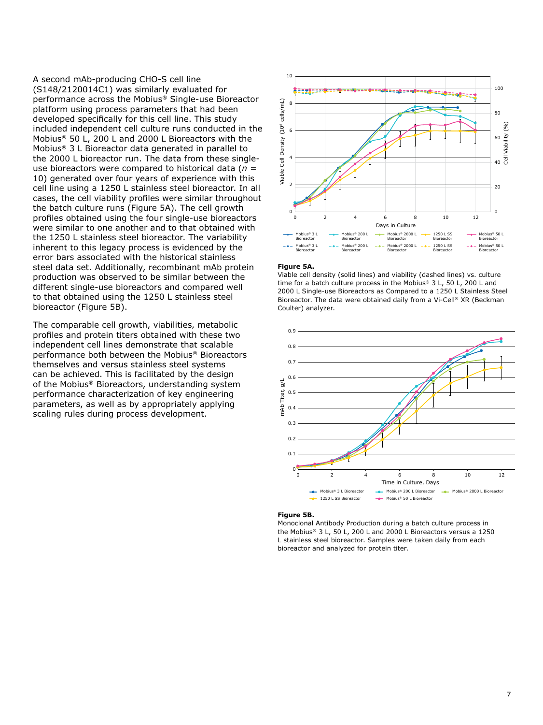A second mAb-producing CHO-S cell line (S148/2120014C1) was similarly evaluated for performance across the Mobius® Single-use Bioreactor platform using process parameters that had been developed specifically for this cell line. This study included independent cell culture runs conducted in the Mobius® 50 L, 200 L and 2000 L Bioreactors with the Mobius® 3 L Bioreactor data generated in parallel to the 2000 L bioreactor run. The data from these singleuse bioreactors were compared to historical data (*n* = 10) generated over four years of experience with this cell line using a 1250 L stainless steel bioreactor. In all cases, the cell viability profiles were similar throughout the batch culture runs (Figure 5A). The cell growth profiles obtained using the four single-use bioreactors were similar to one another and to that obtained with the 1250 L stainless steel bioreactor. The variability inherent to this legacy process is evidenced by the error bars associated with the historical stainless steel data set. Additionally, recombinant mAb protein production was observed to be similar between the different single-use bioreactors and compared well to that obtained using the 1250 L stainless steel bioreactor (Figure 5B).

The comparable cell growth, viabilities, metabolic profiles and protein titers obtained with these two independent cell lines demonstrate that scalable performance both between the Mobius® Bioreactors themselves and versus stainless steel systems can be achieved. This is facilitated by the design of the Mobius® Bioreactors, understanding system performance characterization of key engineering parameters, as well as by appropriately applying scaling rules during process development.



#### **Figure 5A.**

Coulter) analyzer. 2000 L Single-use Bioreactors as Compared to a 1250 L Stainless Steel Viable cell density (solid lines) and viability (dashed lines) vs. culture time for a batch culture process in the Mobius® 3 L, 50 L, 200 L and Bioreactor. The data were obtained daily from a Vi-Cell® XR (Beckman



#### **Figure 5B.**

Monoclonal Antibody Production during a batch culture process in the Mobius® 3 L, 50 L, 200 L and 2000 L Bioreactors versus a 1250 L stainless steel bioreactor. Samples were taken daily from each bioreactor and analyzed for protein titer.